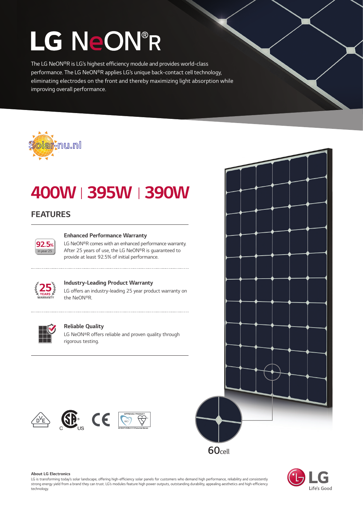# LG NeON®R

The LG NeON®R is LG's highest efficiency module and provides world-class performance. The LG NeON®R applies LG's unique back-contact cell technology, eliminating electrodes on the front and thereby maximizing light absorption while improving overall performance.



### 400WⅠ395WⅠ390W

#### FEATURES



#### Enhanced Performance Warranty

LG NeON®R comes with an enhanced performance warranty. After 25 years of use, the LG NeON®R is guaranteed to provide at least 92.5% of initial performance.



#### Industry-Leading Product Warranty

LG offers an industry-leading 25 year product warranty on the NeON®R.



#### Reliable Quality

LG NeON®R offers reliable and proven quality through rigorous testing.









#### About LG Electronics

LG is transforming today's solar landscape, offering high-efficiency solar panels for customers who demand high performance, reliability and consistently strong energy yield from a brand they can trust. LG's modules feature high power outputs, outstanding durability, appealing aesthetics and high-efficiency technology.